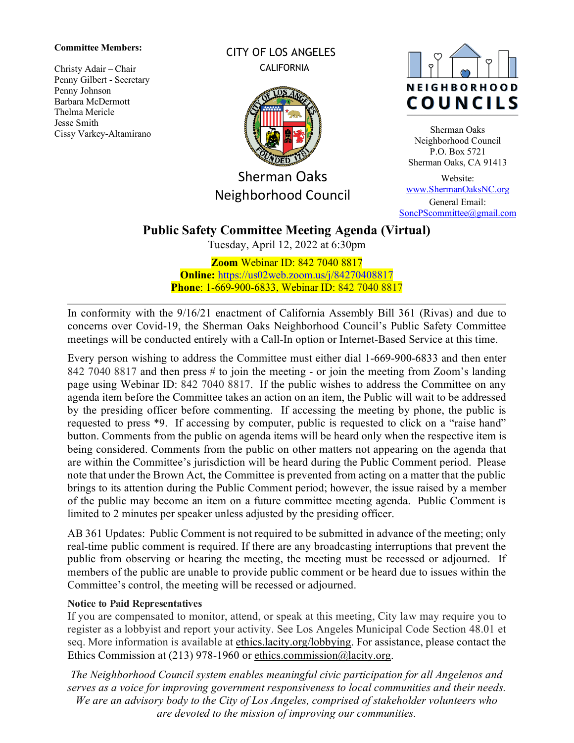#### **Committee Members:**

Christy Adair – Chair Penny Gilbert - Secretary Penny Johnson Barbara McDermott Thelma Mericle Jesse Smith Cissy Varkey-Altamirano CITY OF LOS ANGELES **CALIFORNIA** 



Sherman Oaks Neighborhood Council



Sherman Oaks Neighborhood Council P.O. Box 5721 Sherman Oaks, CA 91413

Website: [www.ShermanOaksNC.org](http://www.shermanoaksnc.org/) General Email: [SoncPScommittee@gmail.com](mailto:SoncPScommittee@gmail.com)

# **Public Safety Committee Meeting Agenda (Virtual)**

Tuesday, April 12, 2022 at 6:30pm

**Zoom** Webinar ID: 842 7040 8817 **Online:** <https://us02web.zoom.us/j/84270408817> **Phone**: 1-669-900-6833, Webinar ID: 842 7040 8817

In conformity with the 9/16/21 enactment of California Assembly Bill 361 (Rivas) and due to concerns over Covid-19, the Sherman Oaks Neighborhood Council's Public Safety Committee meetings will be conducted entirely with a Call-In option or Internet-Based Service at this time.

Every person wishing to address the Committee must either dial 1-669-900-6833 and then enter 842 7040 8817 and then press # to join the meeting - or join the meeting from Zoom's landing page using Webinar ID: 842 7040 8817. If the public wishes to address the Committee on any agenda item before the Committee takes an action on an item, the Public will wait to be addressed by the presiding officer before commenting. If accessing the meeting by phone, the public is requested to press \*9. If accessing by computer, public is requested to click on a "raise hand" button. Comments from the public on agenda items will be heard only when the respective item is being considered. Comments from the public on other matters not appearing on the agenda that are within the Committee's jurisdiction will be heard during the Public Comment period. Please note that under the Brown Act, the Committee is prevented from acting on a matter that the public brings to its attention during the Public Comment period; however, the issue raised by a member of the public may become an item on a future committee meeting agenda. Public Comment is limited to 2 minutes per speaker unless adjusted by the presiding officer.

AB 361 Updates: Public Comment is not required to be submitted in advance of the meeting; only real-time public comment is required. If there are any broadcasting interruptions that prevent the public from observing or hearing the meeting, the meeting must be recessed or adjourned. If members of the public are unable to provide public comment or be heard due to issues within the Committee's control, the meeting will be recessed or adjourned.

#### **Notice to Paid Representatives**

If you are compensated to monitor, attend, or speak at this meeting, City law may require you to register as a lobbyist and report your activity. See Los Angeles Municipal Code Section 48.01 et seq. More information is available at [ethics.lacity.org/lobbying.](http://ethics.lacity.org/lobbying) For assistance, please contact the Ethics Commission at (213) 978-1960 or [ethics.commission@lacity.org.](mailto:ethics.commission@lacity.org)

*The Neighborhood Council system enables meaningful civic participation for all Angelenos and serves as a voice for improving government responsiveness to local communities and their needs. We are an advisory body to the City of Los Angeles, comprised of stakeholder volunteers who are devoted to the mission of improving our communities.*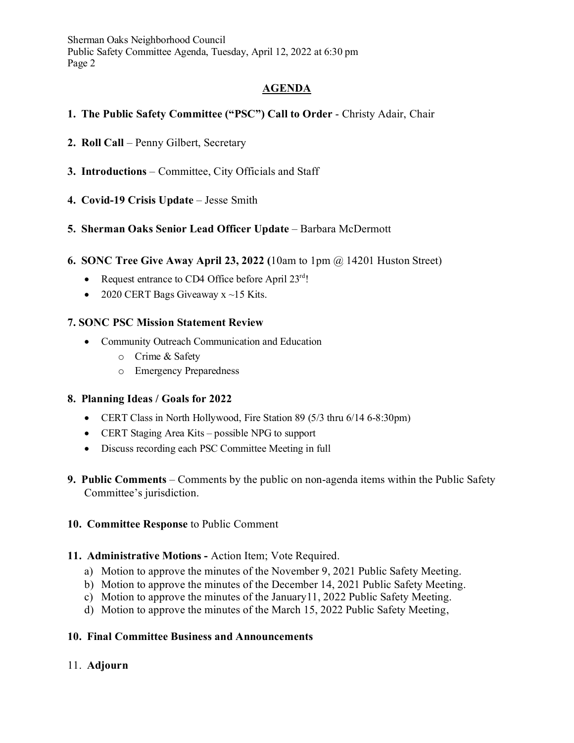Sherman Oaks Neighborhood Council Public Safety Committee Agenda, Tuesday, April 12, 2022 at 6:30 pm Page 2

# **AGENDA**

## **1. The Public Safety Committee ("PSC") Call to Order** - Christy Adair, Chair

- **2. Roll Call** Penny Gilbert, Secretary
- **3. Introductions** Committee, City Officials and Staff
- **4. Covid-19 Crisis Update** Jesse Smith

## **5. Sherman Oaks Senior Lead Officer Update** – Barbara McDermott

- **6. SONC Tree Give Away April 23, 2022 (**10am to 1pm @ 14201 Huston Street)
	- Request entrance to CD4 Office before April  $23^{\text{rd}}$ !
	- 2020 CERT Bags Giveaway  $x \sim 15$  Kits.

## **7. SONC PSC Mission Statement Review**

- Community Outreach Communication and Education
	- o Crime & Safety
	- o Emergency Preparedness

#### **8. Planning Ideas / Goals for 2022**

- CERT Class in North Hollywood, Fire Station 89 (5/3 thru 6/14 6-8:30pm)
- CERT Staging Area Kits possible NPG to support
- Discuss recording each PSC Committee Meeting in full
- **9. Public Comments** Comments by the public on non-agenda items within the Public Safety Committee's jurisdiction.

#### **10. Committee Response** to Public Comment

#### **11. Administrative Motions -** Action Item; Vote Required.

- a) Motion to approve the minutes of the November 9, 2021 Public Safety Meeting.
- b) Motion to approve the minutes of the December 14, 2021 Public Safety Meeting.
- c) Motion to approve the minutes of the January11, 2022 Public Safety Meeting.
- d) Motion to approve the minutes of the March 15, 2022 Public Safety Meeting,

#### **10. Final Committee Business and Announcements**

#### 11. **Adjourn**